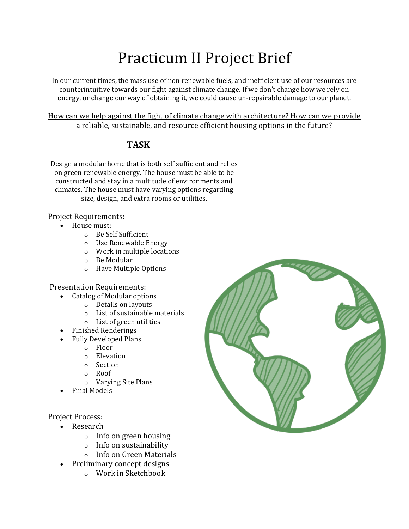## Practicum II Project Brief

In our current times, the mass use of non renewable fuels, and inefficient use of our resources are counterintuitive towards our fight against climate change. If we don't change how we rely on energy, or change our way of obtaining it, we could cause un-repairable damage to our planet.

How can we help against the fight of climate change with architecture? How can we provide a reliable, sustainable, and resource efficient housing options in the future?

## **TASK**

Design a modular home that is both self sufficient and relies on green renewable energy. The house must be able to be constructed and stay in a multitude of environments and climates. The house must have varying options regarding size, design, and extra rooms or utilities.

Project Requirements:

- House must:
	- o Be Self Sufficient
	- o Use Renewable Energy
	- o Work in multiple locations
	- o Be Modular
	- o Have Multiple Options

Presentation Requirements:

- Catalog of Modular options
	- o Details on layouts
		- o List of sustainable materials
		- o List of green utilities
- Finished Renderings
- Fully Developed Plans
	- o Floor
	- o Elevation
	- o Section
	- o Roof
		- o Varying Site Plans
- Final Models

## Project Process:

- **Research** 
	- o Info on green housing
	- o Info on sustainability
	- o Info on Green Materials
- Preliminary concept designs
	- o Work in Sketchbook